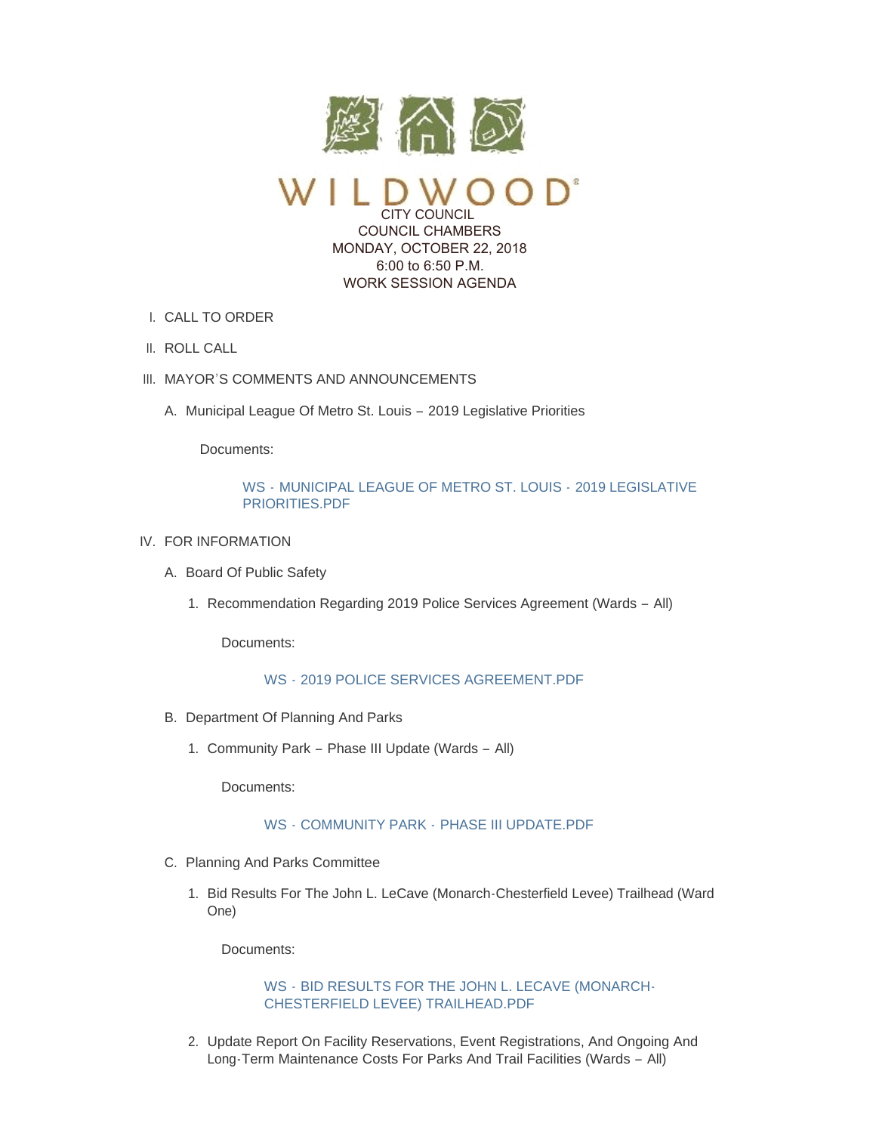

CITY COUNCIL COUNCIL CHAMBERS MONDAY, OCTOBER 22, 2018 6:00 to 6:50 P.M. WORK SESSION AGENDA

- CALL TO ORDER I.
- II. ROLL CALL
- III. MAYOR'S COMMENTS AND ANNOUNCEMENTS
	- A. Municipal League Of Metro St. Louis 2019 Legislative Priorities

Documents:

# WS - [MUNICIPAL LEAGUE OF METRO ST. LOUIS -](https://www.cityofwildwood.com/AgendaCenter/ViewFile/Item/17591?fileID=24911) 2019 LEGISLATIVE PRIORITIES.PDF

- IV. FOR INFORMATION
	- A. Board Of Public Safety
		- 1. Recommendation Regarding 2019 Police Services Agreement (Wards All)

Documents:

# WS - [2019 POLICE SERVICES AGREEMENT.PDF](https://www.cityofwildwood.com/AgendaCenter/ViewFile/Item/17558?fileID=24894)

- B. Department Of Planning And Parks
	- 1. Community Park Phase III Update (Wards All)

Documents:

# WS - COMMUNITY PARK - [PHASE III UPDATE.PDF](https://www.cityofwildwood.com/AgendaCenter/ViewFile/Item/17560?fileID=24903)

- C. Planning And Parks Committee
	- 1. Bid Results For The John L. LeCave (Monarch-Chesterfield Levee) Trailhead (Ward One)

Documents:

# WS - [BID RESULTS FOR THE JOHN L. LECAVE \(MONARCH-](https://www.cityofwildwood.com/AgendaCenter/ViewFile/Item/17562?fileID=24895)CHESTERFIELD LEVEE) TRAILHEAD.PDF

2. Update Report On Facility Reservations, Event Registrations, And Ongoing And Long-Term Maintenance Costs For Parks And Trail Facilities (Wards – All)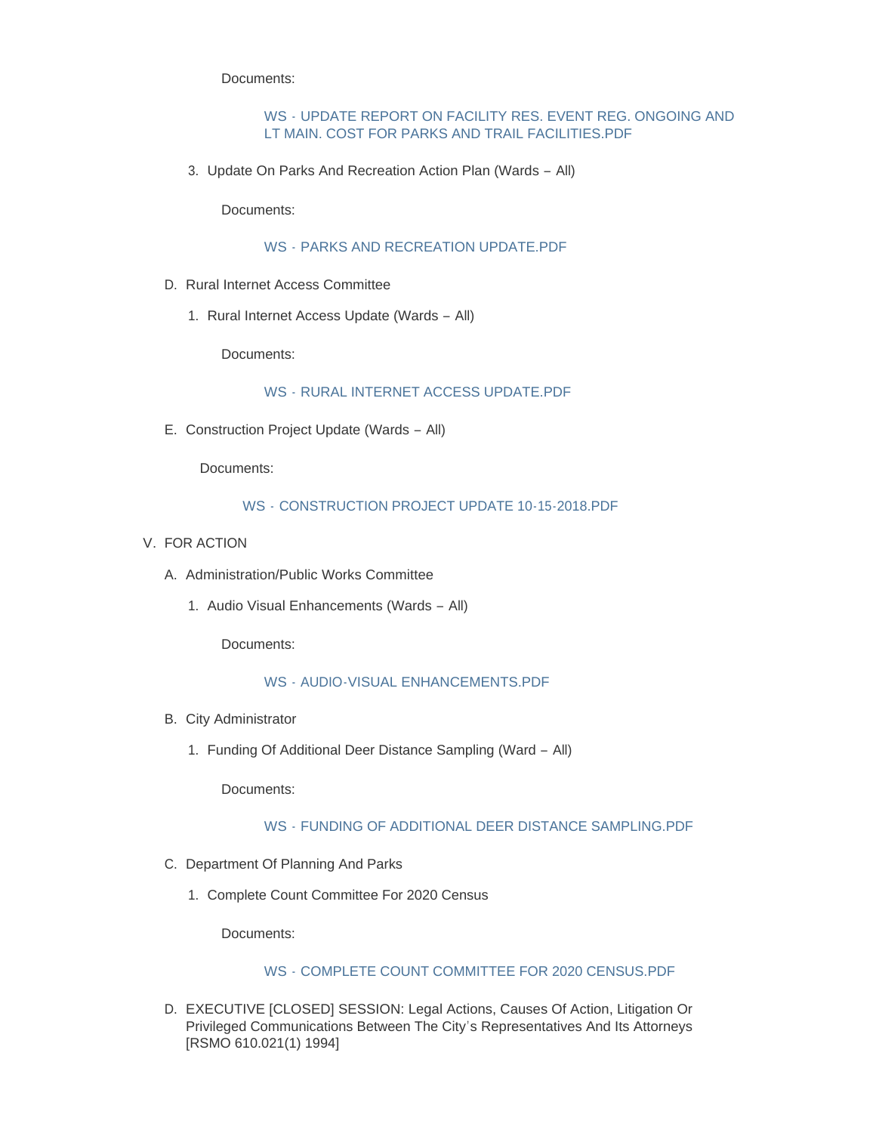Documents:

### WS - [UPDATE REPORT ON FACILITY RES. EVENT REG. ONGOING AND](https://www.cityofwildwood.com/AgendaCenter/ViewFile/Item/17563?fileID=24896)  LT MAIN. COST FOR PARKS AND TRAIL FACILITIES.PDF

3. Update On Parks And Recreation Action Plan (Wards - All)

Documents:

# WS - [PARKS AND RECREATION UPDATE.PDF](https://www.cityofwildwood.com/AgendaCenter/ViewFile/Item/17564?fileID=24897)

- D. Rural Internet Access Committee
	- 1. Rural Internet Access Update (Wards All)

Documents:

### WS - [RURAL INTERNET ACCESS UPDATE.PDF](https://www.cityofwildwood.com/AgendaCenter/ViewFile/Item/17567?fileID=24902)

E. Construction Project Update (Wards - All)

Documents:

### WS - [CONSTRUCTION PROJECT UPDATE 10-15-2018.PDF](https://www.cityofwildwood.com/AgendaCenter/ViewFile/Item/17568?fileID=24898)

- V. FOR ACTION
	- A. Administration/Public Works Committee
		- 1. Audio Visual Enhancements (Wards All)

Documents:

#### WS - [AUDIO-VISUAL ENHANCEMENTS.PDF](https://www.cityofwildwood.com/AgendaCenter/ViewFile/Item/17623?fileID=24922)

- B. City Administrator
	- Funding Of Additional Deer Distance Sampling (Ward All) 1.

Documents:

#### WS - [FUNDING OF ADDITIONAL DEER DISTANCE SAMPLING.PDF](https://www.cityofwildwood.com/AgendaCenter/ViewFile/Item/17592?fileID=24912)

- C. Department Of Planning And Parks
	- 1. Complete Count Committee For 2020 Census

Documents:

### WS - [COMPLETE COUNT COMMITTEE FOR 2020 CENSUS.PDF](https://www.cityofwildwood.com/AgendaCenter/ViewFile/Item/17575?fileID=24899)

D. EXECUTIVE [CLOSED] SESSION: Legal Actions, Causes Of Action, Litigation Or Privileged Communications Between The City's Representatives And Its Attorneys [RSMO 610.021(1) 1994]